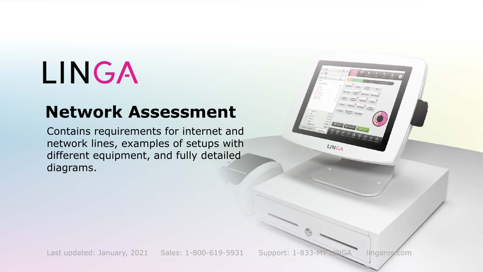# LINGA

#### **Network Assessment**

Contains requirements for internet and network lines, examples of setups with different equipment, and fully detailed diagrams.

Last updated: January, 2021 Sales: 1-800-619-5931 Support: 1-833-MY LINGA lingaros.com

LINGA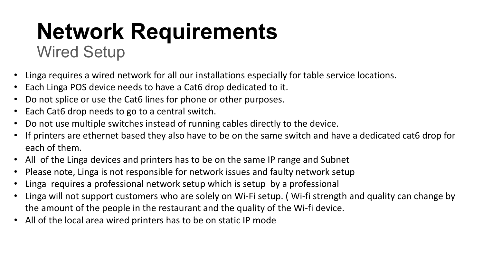### **Network Requirements** Wired Setup

- Linga requires a wired network for all our installations especially for table service locations.
- Each Linga POS device needs to have a Cat6 drop dedicated to it.
- Do not splice or use the Cat6 lines for phone or other purposes.
- Each Cat6 drop needs to go to a central switch.
- Do not use multiple switches instead of running cables directly to the device.
- If printers are ethernet based they also have to be on the same switch and have a dedicated cat6 drop for each of them.
- All of the Linga devices and printers has to be on the same IP range and Subnet
- Please note, Linga is not responsible for network issues and faulty network setup
- Linga requires a professional network setup which is setup by a professional
- Linga will not support customers who are solely on Wi-Fi setup. ( Wi-fi strength and quality can change by the amount of the people in the restaurant and the quality of the Wi-fi device.
- All of the local area wired printers has to be on static IP mode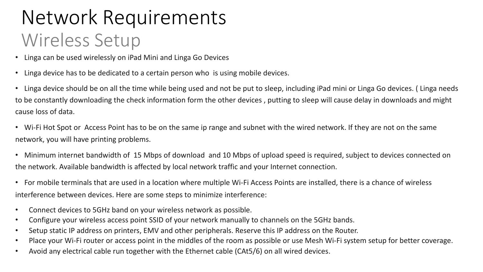### Network Requirements Wireless Setup

- Linga can be used wirelessly on iPad Mini and Linga Go Devices
- Linga device has to be dedicated to a certain person who is using mobile devices.
- Linga device should be on all the time while being used and not be put to sleep, including iPad mini or Linga Go devices. ( Linga needs to be constantly downloading the check information form the other devices , putting to sleep will cause delay in downloads and might cause loss of data.
- Wi-Fi Hot Spot or Access Point has to be on the same ip range and subnet with the wired network. If they are not on the same network, you will have printing problems.
- Minimum internet bandwidth of 15 Mbps of download and 10 Mbps of upload speed is required, subject to devices connected on the network. Available bandwidth is affected by local network traffic and your Internet connection.
- For mobile terminals that are used in a location where multiple Wi-Fi Access Points are installed, there is a chance of wireless interference between devices. Here are some steps to minimize interference:
- Connect devices to 5GHz band on your wireless network as possible.
- Configure your wireless access point SSID of your network manually to channels on the 5GHz bands.
- Setup static IP address on printers, EMV and other peripherals. Reserve this IP address on the Router.
- Place your Wi-Fi router or access point in the middles of the room as possible or use Mesh Wi-Fi system setup for better coverage.
- Avoid any electrical cable run together with the Ethernet cable (CAt5/6) on all wired devices.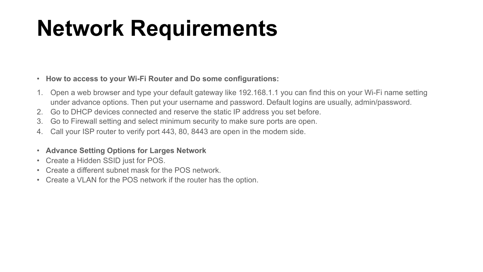## **Network Requirements**

#### • **How to access to your Wi-Fi Router and Do some configurations:**

- 1. Open a web browser and type your default gateway like 192.168.1.1 you can find this on your Wi-Fi name setting under advance options. Then put your username and password. Default logins are usually, admin/password.
- 2. Go to DHCP devices connected and reserve the static IP address you set before.
- 3. Go to Firewall setting and select minimum security to make sure ports are open.
- 4. Call your ISP router to verify port 443, 80, 8443 are open in the modem side.
- **Advance Setting Options for Larges Network**
- Create a Hidden SSID just for POS.
- Create a different subnet mask for the POS network.
- Create a VLAN for the POS network if the router has the option.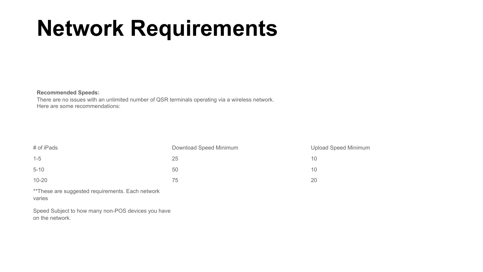## **Network Requirements**

#### **Recommended Speeds:**

There are no issues with an unlimited number of QSR terminals operating via a wireless network. Here are some recommendations:

| Download Speed Minimum | <b>Upload Speed Minimum</b> |
|------------------------|-----------------------------|
| 25                     | 10                          |
| 50                     | 10                          |
| 75                     | 20                          |
|                        |                             |

\*\*These are suggested requirements. Each network varies

Speed Subject to how many non-POS devices you have on the network.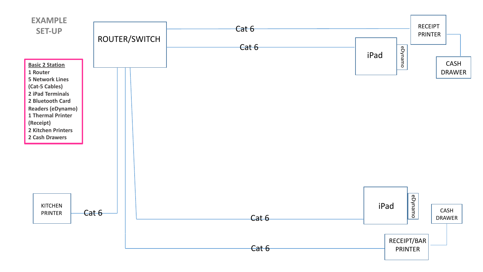